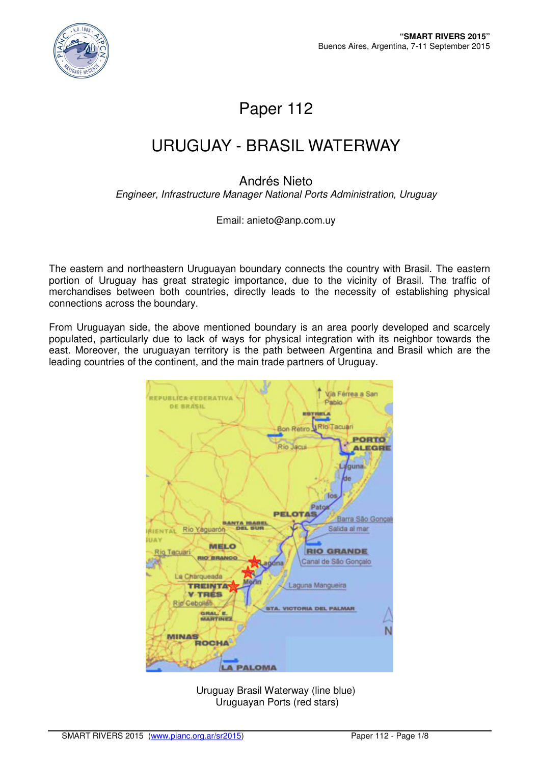

# Paper 112

# URUGUAY - BRASIL WATERWAY

### Andrés Nieto

Engineer, Infrastructure Manager National Ports Administration, Uruguay

#### Email: anieto@anp.com.uy

The eastern and northeastern Uruguayan boundary connects the country with Brasil. The eastern portion of Uruguay has great strategic importance, due to the vicinity of Brasil. The traffic of merchandises between both countries, directly leads to the necessity of establishing physical connections across the boundary.

From Uruguayan side, the above mentioned boundary is an area poorly developed and scarcely populated, particularly due to lack of ways for physical integration with its neighbor towards the east. Moreover, the uruguayan territory is the path between Argentina and Brasil which are the leading countries of the continent, and the main trade partners of Uruguay.



Uruguay Brasil Waterway (line blue) Uruguayan Ports (red stars)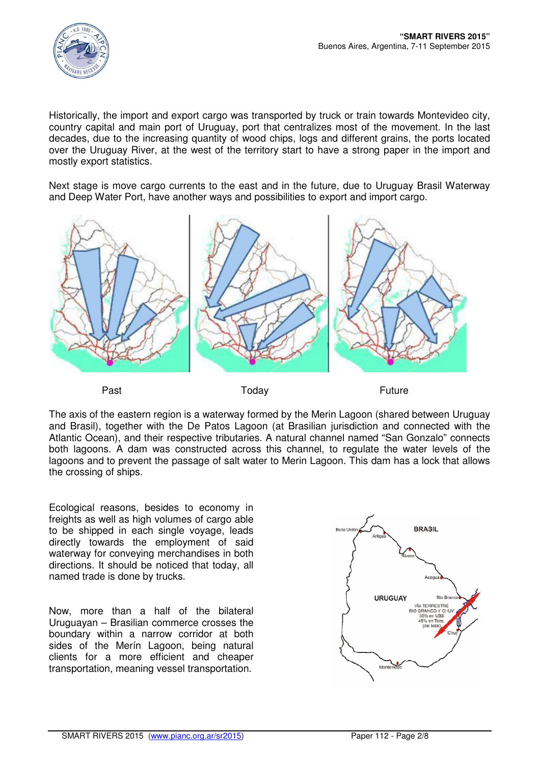

Historically, the import and export cargo was transported by truck or train towards Montevideo city, country capital and main port of Uruguay, port that centralizes most of the movement. In the last decades, due to the increasing quantity of wood chips, logs and different grains, the ports located over the Uruguay River, at the west of the territory start to have a strong paper in the import and mostly export statistics.

Next stage is move cargo currents to the east and in the future, due to Uruguay Brasil Waterway and Deep Water Port, have another ways and possibilities to export and import cargo.



The axis of the eastern region is a waterway formed by the Merin Lagoon (shared between Uruguay and Brasil), together with the De Patos Lagoon (at Brasilian jurisdiction and connected with the Atlantic Ocean), and their respective tributaries. A natural channel named "San Gonzalo" connects both lagoons. A dam was constructed across this channel, to regulate the water levels of the lagoons and to prevent the passage of salt water to Merin Lagoon. This dam has a lock that allows the crossing of ships.

Ecological reasons, besides to economy in freights as well as high volumes of cargo able to be shipped in each single voyage, leads directly towards the employment of said waterway for conveying merchandises in both directions. It should be noticed that today, all named trade is done by trucks.

Now, more than a half of the bilateral Uruguayan – Brasilian commerce crosses the boundary within a narrow corridor at both sides of the Merín Lagoon, being natural clients for a more efficient and cheaper transportation, meaning vessel transportation.

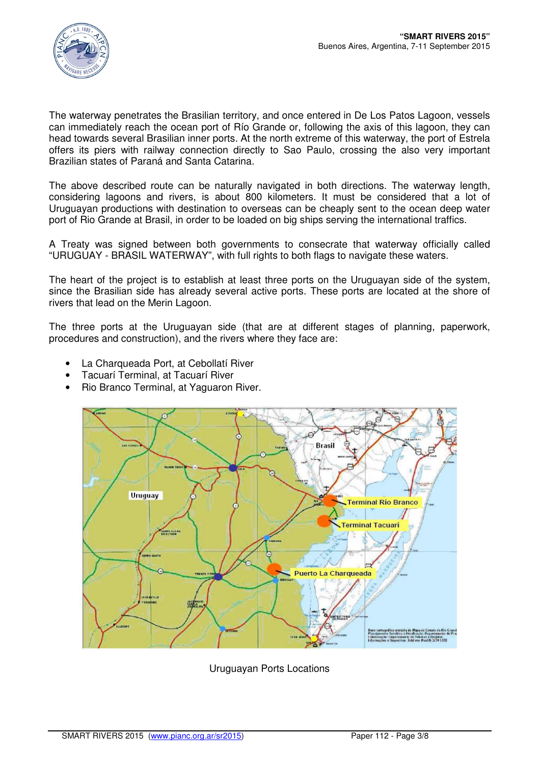

The waterway penetrates the Brasilian territory, and once entered in De Los Patos Lagoon, vessels can immediately reach the ocean port of Río Grande or, following the axis of this lagoon, they can head towards several Brasilian inner ports. At the north extreme of this waterway, the port of Estrela offers its piers with railway connection directly to Sao Paulo, crossing the also very important Brazilian states of Paraná and Santa Catarina.

The above described route can be naturally navigated in both directions. The waterway length, considering lagoons and rivers, is about 800 kilometers. It must be considered that a lot of Uruguayan productions with destination to overseas can be cheaply sent to the ocean deep water port of Rio Grande at Brasil, in order to be loaded on big ships serving the international traffics.

A Treaty was signed between both governments to consecrate that waterway officially called "URUGUAY - BRASIL WATERWAY", with full rights to both flags to navigate these waters.

The heart of the project is to establish at least three ports on the Uruguayan side of the system, since the Brasilian side has already several active ports. These ports are located at the shore of rivers that lead on the Merin Lagoon.

The three ports at the Uruguayan side (that are at different stages of planning, paperwork, procedures and construction), and the rivers where they face are:

- La Charqueada Port, at Cebollatí River
- Tacuarí Terminal, at Tacuarí River
- Rio Branco Terminal, at Yaguaron River.



Uruguayan Ports Locations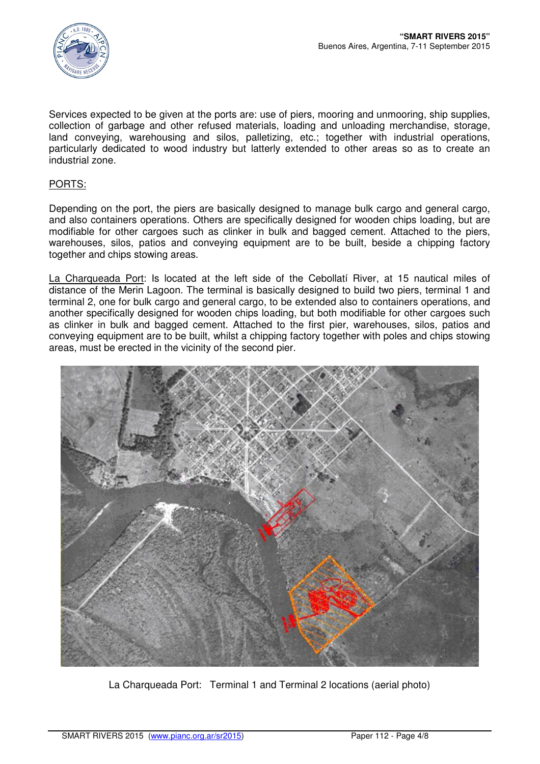

Services expected to be given at the ports are: use of piers, mooring and unmooring, ship supplies, collection of garbage and other refused materials, loading and unloading merchandise, storage, land conveying, warehousing and silos, palletizing, etc.; together with industrial operations, particularly dedicated to wood industry but latterly extended to other areas so as to create an industrial zone.

### PORTS:

Depending on the port, the piers are basically designed to manage bulk cargo and general cargo, and also containers operations. Others are specifically designed for wooden chips loading, but are modifiable for other cargoes such as clinker in bulk and bagged cement. Attached to the piers, warehouses, silos, patios and conveying equipment are to be built, beside a chipping factory together and chips stowing areas.

La Charqueada Port: Is located at the left side of the Cebollatí River, at 15 nautical miles of distance of the Merin Lagoon. The terminal is basically designed to build two piers, terminal 1 and terminal 2, one for bulk cargo and general cargo, to be extended also to containers operations, and another specifically designed for wooden chips loading, but both modifiable for other cargoes such as clinker in bulk and bagged cement. Attached to the first pier, warehouses, silos, patios and conveying equipment are to be built, whilst a chipping factory together with poles and chips stowing areas, must be erected in the vicinity of the second pier.



La Charqueada Port: Terminal 1 and Terminal 2 locations (aerial photo)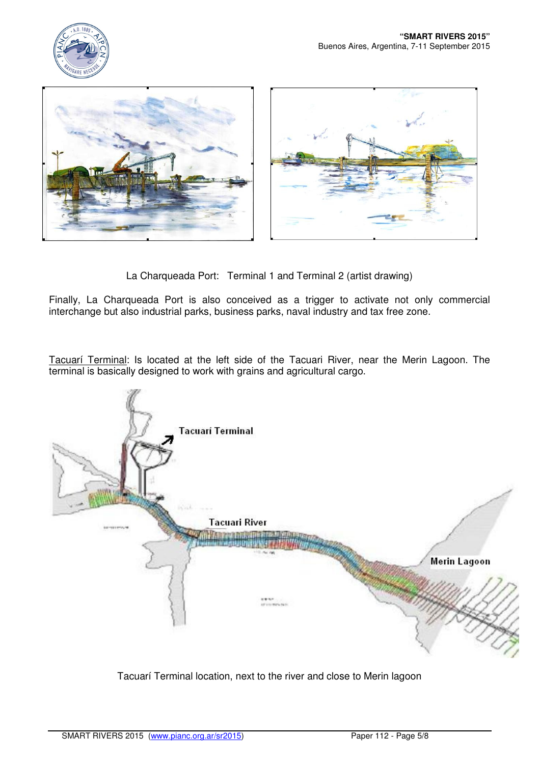



La Charqueada Port: Terminal 1 and Terminal 2 (artist drawing)

Finally, La Charqueada Port is also conceived as a trigger to activate not only commercial interchange but also industrial parks, business parks, naval industry and tax free zone.

Tacuarí Terminal: Is located at the left side of the Tacuari River, near the Merin Lagoon. The terminal is basically designed to work with grains and agricultural cargo.



Tacuarí Terminal location, next to the river and close to Merin lagoon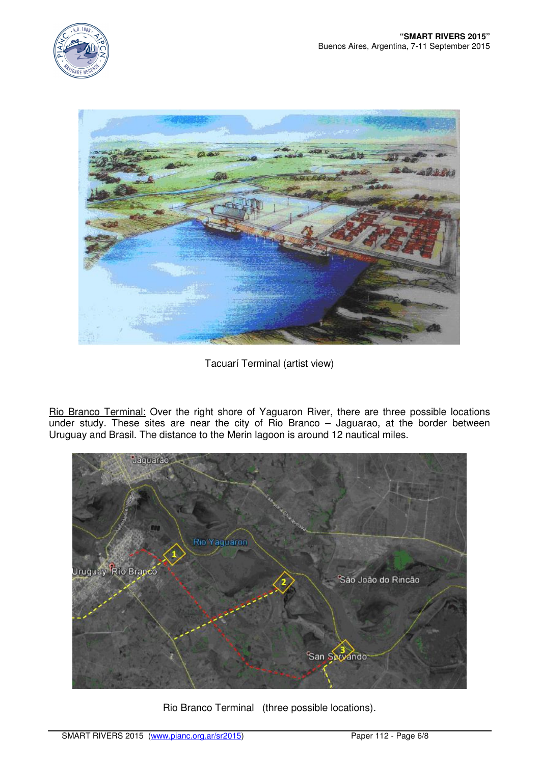



Tacuarí Terminal (artist view)

Rio Branco Terminal: Over the right shore of Yaguaron River, there are three possible locations under study. These sites are near the city of Rio Branco – Jaguarao, at the border between Uruguay and Brasil. The distance to the Merin lagoon is around 12 nautical miles.



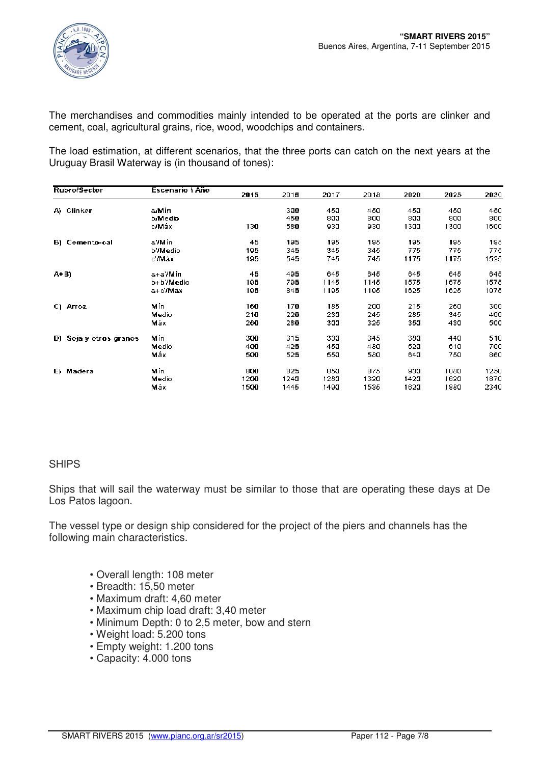

The merchandises and commodities mainly intended to be operated at the ports are clinker and cement, coal, agricultural grains, rice, wood, woodchips and containers.

The load estimation, at different scenarios, that the three ports can catch on the next years at the Uruguay Brasil Waterway is (in thousand of tones):

| <b>Rubro/Sector</b>    | Escenario I Año | 2015  | 2018 | 2017 | 2018 | 2020 | 2025 | 2030 |
|------------------------|-----------------|-------|------|------|------|------|------|------|
| A) Clinker             | a/Mín           |       | 300  | 450  | 450  | 450  | 450  | 450  |
|                        | <b>b/Medio</b>  |       | 450  | 800  | 800  | 800  | 8aa  | 800  |
|                        | o/Máx           | 130.  | 580  | 930  | 930  | 1300 | 1300 | 1600 |
| B) Cemento-cal         | a'/Min          | 45    | 195  | 195  | 195  | 195  | 195  | 195  |
|                        | <b>b'/Medio</b> | 195   | 345  | 345  | 345  | 775  | 775  | 775  |
|                        | c'Anax          | 195   | 545  | 745  | 745  | 1175 | 1175 | 1525 |
| A+B)                   | a+a'/Min        | 45    | 495  | 645  | 645  | 645  | 645  | 645  |
|                        | b+b'/Medio      | 195   | 795  | 1145 | 1145 | 1575 | 1575 | 1575 |
|                        | a+c'/Max        | 195   | 845  | 1195 | 1195 | 1625 | 1625 | 1975 |
| C) Arroz               | Min             | 160   | 170  | 185  | 200  | 215  | 260  | 300  |
|                        | Medio           | 210   | 220  | 230  | 245  | 285  | 345  | 400  |
|                        | Máx             | 260.  | 280  | 300  | 325  | 350  | 430  | 500  |
| D) Soja y otros granos | Min             | 300   | 315  | 330  | 345  | 380  | 440  | 510  |
|                        | Medio           | 400   | 425  | 450  | 480  | 520  | 610  | 700  |
|                        | Máx             | 500   | 525  | 550  | 580  | 640  | 750  | 860  |
| E) Madera              | Mín             | 800   | 825  | 850  | 875  | 930  | 1080 | 1250 |
|                        | Medio           | 1200  | 1240 | 1280 | 1320 | 1420 | 1620 | 1870 |
|                        | Máx             | 1500. | 1445 | 1490 | 1535 | 1620 | 1880 | 2340 |

### **SHIPS**

Ships that will sail the waterway must be similar to those that are operating these days at De Los Patos lagoon.

The vessel type or design ship considered for the project of the piers and channels has the following main characteristics.

- Overall length: 108 meter
- Breadth: 15,50 meter
- Maximum draft: 4,60 meter
- Maximum chip load draft: 3,40 meter
- Minimum Depth: 0 to 2,5 meter, bow and stern
- Weight load: 5.200 tons
- Empty weight: 1.200 tons
- Capacity: 4.000 tons